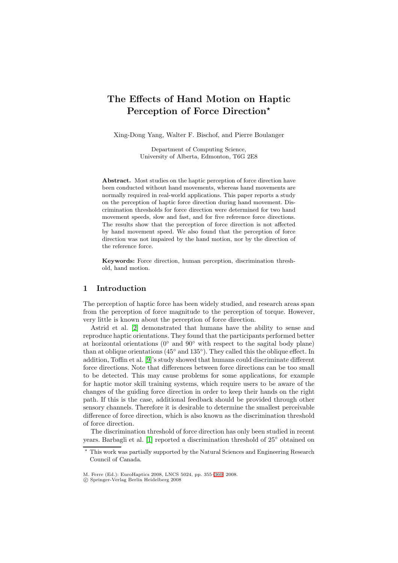# **The Effects of Hand Motion on Haptic Perception of Force Direction***-*

Xing-Dong Yang, Walter F. Bischof, and Pierre Boulanger

Department of Computing Science, University of Alberta, Edmonton, T6G 2E8

Abstract. Most studies on the haptic perception of force direction have been conducted without hand movements, whereas hand movements are normally required in real-world applications. This paper reports a study on the perception of haptic force direction during hand movement. Discrimination thresholds for force direction were determined for two hand movement speeds, slow and fast, and for five reference force directions. The results show that the perception of force direction is not affected by hand movement speed. We also found that the perception of force direction was not impaired by the hand motion, nor by the direction of the reference force.

**Keywords:** Force direction, human perception, discrimination threshold, hand motion.

### **1 Introduction**

The perception of haptic force has been widely studied, and research areas span from the perception of force magnitude to the perception of torque. However, very little is known about the perception of force direction.

Astrid et al. [\[2\]](#page-5-0) demonstrated that humans have the ability to sense and reproduce haptic orientations. They found that the participants performed better at horizontal orientations ( $0°$  and  $90°$  with respect to the sagital body plane) than at oblique orientations (45◦ and 135◦). They called this the oblique effect. In addition, Toffin et al. [\[9\]](#page-5-1)'s study showed that humans could discriminate different force directions. Note that differences between force directions can be too small to be detected. This may cause problems for some applications, for example for haptic motor skill training systems, which require users to be aware of the changes of the guiding force direction in order to keep their hands on the right path. If this is the case, additional feedback should be provided through other sensory channels. Therefore it is desirable to determine the smallest perceivable difference of force direction, which is also known as the discrimination threshold of force direction.

The discrimination threshold of force direction has only been studied in recent years. Barbagli et al. [\[1\]](#page-5-2) reported a discrimination threshold of 25◦ obtained on

 $\star$  This work was partially supported by the Natural Sciences and Engineering Research Council of Canada.

M. Ferre (Ed.): EuroHaptics 2008, LNCS 5024, pp. 355[–360,](#page-5-3) 2008.

c Springer-Verlag Berlin Heidelberg 2008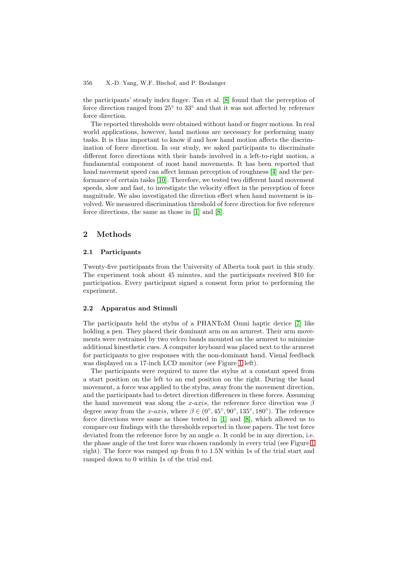#### 356 X.-D. Yang, W.F. Bischof, and P. Boulanger

the participants' steady index finger. Tan et al. [\[8\]](#page-5-4) found that the perception of force direction ranged from 25◦ to 33◦ and that it was not affected by reference force direction.

The reported thresholds were obtained without hand or finger motions. In real world applications, however, hand motions are necessary for performing many tasks. It is thus important to know if and how hand motion affects the discrimination of force direction. In our study, we asked participants to discriminate different force directions with their hands involved in a left-to-right motion, a fundamental component of most hand movements. It has been reported that hand movement speed can affect human perception of roughness [\[4\]](#page-5-5) and the performance of certain tasks [\[10\]](#page-5-6). Therefore, we tested two different hand movement speeds, slow and fast, to investigate the velocity effect in the perception of force magnitude. We also investigated the direction effect when hand movement is involved. We measured discrimination threshold of force direction for five reference force directions, the same as those in [\[1\]](#page-5-2) and [\[8\]](#page-5-4).

## **2 Methods**

### **2.1 Participants**

Twenty-five participants from the University of Alberta took part in this study. The experiment took about 45 minutes, and the participants received \$10 for participation. Every participant signed a consent form prior to performing the experiment.

#### **2.2 Apparatus and Stimuli**

The participants held the stylus of a PHANToM Omni haptic device [\[7\]](#page-5-7) like holding a pen. They placed their dominant arm on an armrest. Their arm movements were restrained by two velcro bands mounted on the armrest to minimize additional kinesthetic cues. A computer keyboard was placed next to the armrest for participants to give responses with the non-dominant hand. Visual feedback was displayed on a 17-inch LCD monitor (see Figure [1](#page-2-0) left).

The participants were required to move the stylus at a constant speed from a start position on the left to an end position on the right. During the hand movement, a force was applied to the stylus, away from the movement direction, and the participants had to detect direction differences in these forces. Assuming the hand movement was along the x-axis, the reference force direction was  $\beta$ degree away from the x-axis, where  $\beta \in (0, 0.45^{\circ}, 90^{\circ}, 135^{\circ}, 180^{\circ})$ . The reference force directions were same as those tested in [\[1\]](#page-5-2) and [\[8\]](#page-5-4), which allowed us to compare our findings with the thresholds reported in those papers. The test force deviated from the reference force by an angle  $\alpha$ . It could be in any direction, i.e. the phase angle of the test force was chosen randomly in every trial (see Figure [1](#page-2-0) right). The force was ramped up from 0 to 1.5N within 1s of the trial start and ramped down to 0 within 1s of the trial end.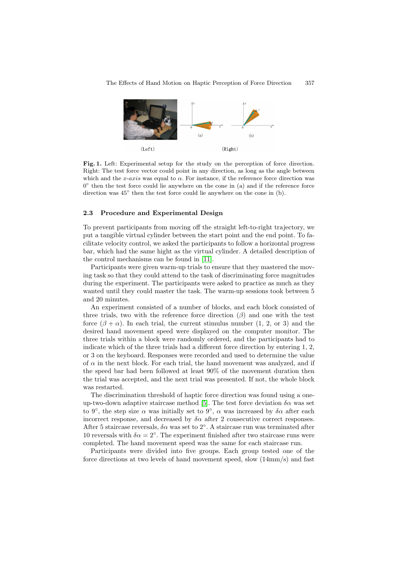

<span id="page-2-0"></span>Fig. 1. Left: Experimental setup for the study on the perception of force direction. Right: The test force vector could point in any direction, as long as the angle between which and the x-axis was equal to  $\alpha$ . For instance, if the reference force direction was  $0<sup>°</sup>$  then the test force could lie anywhere on the cone in (a) and if the reference force direction was 45◦ then the test force could lie anywhere on the cone in (b).

#### **2.3 Procedure and Experimental Design**

To prevent participants from moving off the straight left-to-right trajectory, we put a tangible virtual cylinder between the start point and the end point. To facilitate velocity control, we asked the participants to follow a horizontal progress bar, which had the same hight as the virtual cylinder. A detailed description of the control mechanisms can be found in [\[11\]](#page-5-8).

Participants were given warm-up trials to ensure that they mastered the moving task so that they could attend to the task of discriminating force magnitudes during the experiment. The participants were asked to practice as much as they wanted until they could master the task. The warm-up sessions took between 5 and 20 minutes.

An experiment consisted of a number of blocks, and each block consisted of three trials, two with the reference force direction  $(\beta)$  and one with the test force  $(\beta + \alpha)$ . In each trial, the current stimulus number  $(1, 2, \text{or } 3)$  and the desired hand movement speed were displayed on the computer monitor. The three trials within a block were randomly ordered, and the participants had to indicate which of the three trials had a different force direction by entering 1, 2, or 3 on the keyboard. Responses were recorded and used to determine the value of  $\alpha$  in the next block. For each trial, the hand movement was analyzed, and if the speed bar had been followed at least 90% of the movement duration then the trial was accepted, and the next trial was presented. If not, the whole block was restarted.

The discrimination threshold of haptic force direction was found using a one-up-two-down adaptive staircase method [\[5\]](#page-5-9). The test force deviation  $\delta \alpha$  was set to 9<sup>°</sup>, the step size  $\alpha$  was initially set to 9<sup>°</sup>,  $\alpha$  was increased by  $\delta \alpha$  after each incorrect response, and decreased by  $\delta \alpha$  after 2 consecutive correct responses. After 5 staircase reversals,  $\delta \alpha$  was set to  $2^{\circ}$ . A staircase run was terminated after 10 reversals with  $\delta \alpha = 2^{\circ}$ . The experiment finished after two staircase runs were completed. The hand movement speed was the same for each staircase run.

Participants were divided into five groups. Each group tested one of the force directions at two levels of hand movement speed, slow (14mm/s) and fast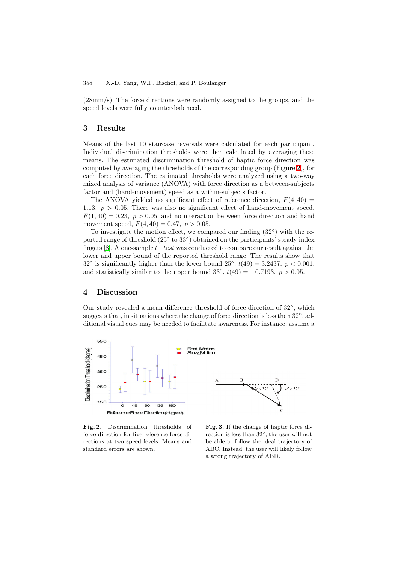(28mm/s). The force directions were randomly assigned to the groups, and the speed levels were fully counter-balanced.

# **3 Results**

Means of the last 10 staircase reversals were calculated for each participant. Individual discrimination thresholds were then calculated by averaging these means. The estimated discrimination threshold of haptic force direction was computed by averaging the thresholds of the corresponding group (Figure [2\)](#page-3-0), for each force direction. The estimated thresholds were analyzed using a two-way mixed analysis of variance (ANOVA) with force direction as a between-subjects factor and (hand-movement) speed as a within-subjects factor.

The ANOVA yielded no significant effect of reference direction,  $F(4, 40) =$ 1.13,  $p > 0.05$ . There was also no significant effect of hand-movement speed,  $F(1, 40) = 0.23$ ,  $p > 0.05$ , and no interaction between force direction and hand movement speed,  $F(4, 40) = 0.47, p > 0.05$ .

To investigate the motion effect, we compared our finding  $(32°)$  with the reported range of threshold (25 $\degree$  to 33 $\degree$ ) obtained on the participants' steady index fingers [\[8\]](#page-5-4). A one-sample  $t-test$  was conducted to compare our result against the lower and upper bound of the reported threshold range. The results show that  $32°$  is significantly higher than the lower bound  $25°$ ,  $t(49) = 3.2437$ ,  $p < 0.001$ , and statistically similar to the upper bound 33°,  $t(49) = -0.7193$ ,  $p > 0.05$ .

### **4 Discussion**

Our study revealed a mean difference threshold of force direction of 32◦, which suggests that, in situations where the change of force direction is less than 32◦, additional visual cues may be needed to facilitate awareness. For instance, assume a



<span id="page-3-0"></span>**Fig. 2.** Discrimination thresholds of force direction for five reference force directions at two speed levels. Means and standard errors are shown.

<span id="page-3-1"></span>**Fig. 3.** If the change of haptic force direction is less than 32◦, the user will not be able to follow the ideal trajectory of ABC. Instead, the user will likely follow a wrong trajectory of ABD.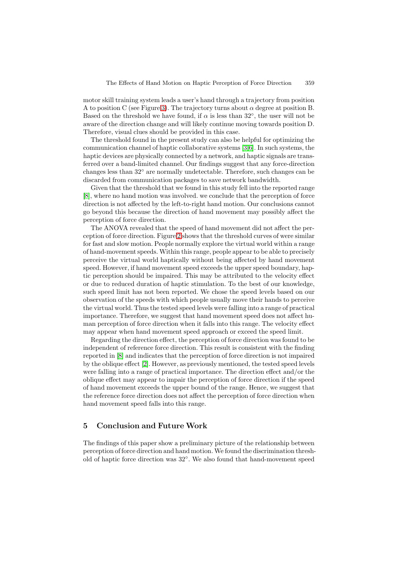motor skill training system leads a user's hand through a trajectory from position A to position C (see Figure [3\)](#page-3-1). The trajectory turns about  $\alpha$  degree at position B. Based on the threshold we have found, if  $\alpha$  is less than 32°, the user will not be aware of the direction change and will likely continue moving towards position D. Therefore, visual clues should be provided in this case.

The threshold found in the present study can also be helpful for optimizing the communication channel of haptic collaborative systems [\[3](#page-5-10)[,6\]](#page-5-11). In such systems, the haptic devices are physically connected by a network, and haptic signals are transferred over a band-limited channel. Our findings suggest that any force-direction changes less than 32◦ are normally undetectable. Therefore, such changes can be discarded from communication packages to save network bandwidth.

Given that the threshold that we found in this study fell into the reported range [\[8\]](#page-5-4), where no hand motion was involved. we conclude that the perception of force direction is not affected by the left-to-right hand motion. Our conclusions cannot go beyond this because the direction of hand movement may possibly affect the perception of force direction.

The ANOVA revealed that the speed of hand movement did not affect the perception of force direction. Figure [2](#page-3-0) shows that the threshold curves of were similar for fast and slow motion. People normally explore the virtual world within a range of hand-movement speeds. Within this range, people appear to be able to precisely perceive the virtual world haptically without being affected by hand movement speed. However, if hand movement speed exceeds the upper speed boundary, haptic perception should be impaired. This may be attributed to the velocity effect or due to reduced duration of haptic stimulation. To the best of our knowledge, such speed limit has not been reported. We chose the speed levels based on our observation of the speeds with which people usually move their hands to perceive the virtual world. Thus the tested speed levels were falling into a range of practical importance. Therefore, we suggest that hand movement speed does not affect human perception of force direction when it falls into this range. The velocity effect may appear when hand movement speed approach or exceed the speed limit.

Regarding the direction effect, the perception of force direction was found to be independent of reference force direction. This result is consistent with the finding reported in [\[8\]](#page-5-4) and indicates that the perception of force direction is not impaired by the oblique effect [\[2\]](#page-5-0). However, as previously mentioned, the tested speed levels were falling into a range of practical importance. The direction effect and/or the oblique effect may appear to impair the perception of force direction if the speed of hand movement exceeds the upper bound of the range. Hence, we suggest that the reference force direction does not affect the perception of force direction when hand movement speed falls into this range.

### **5 Conclusion and Future Work**

The findings of this paper show a preliminary picture of the relationship between perception of force direction and hand motion. We found the discrimination threshold of haptic force direction was 32◦. We also found that hand-movement speed